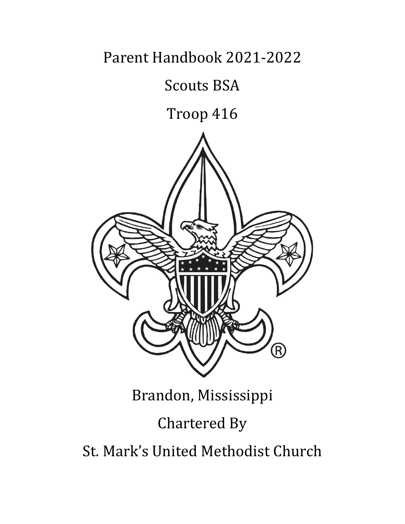Parent Handbook 2021-2022

# Scouts BSA

# Troop 416



# Brandon, Mississippi Chartered By St. Mark's United Methodist Church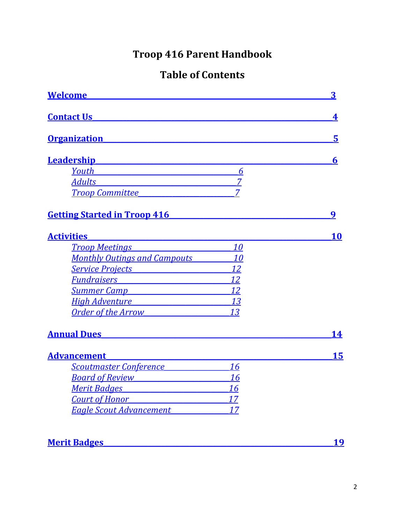# **Troop 416 Parent Handbook**

# **Table of Contents**

| <b>Welcome</b>                                                                                                                                                                                                                      |                | 3  |
|-------------------------------------------------------------------------------------------------------------------------------------------------------------------------------------------------------------------------------------|----------------|----|
| <b>Contact Us</b>                                                                                                                                                                                                                   |                | 4  |
| <u>Organization</u>                                                                                                                                                                                                                 |                | 5  |
| <b>Leadership Example 2016</b>                                                                                                                                                                                                      |                | 6  |
| <b>Youth Second Executive Second Second Second Second Second Second Second Second Second Second Second Second Second Second Second Second Second Second Second Second Second Second Second Second Second Second Second Second </b>  | 6              |    |
| <b>Adults</b><br><u> 1989 - Johann John Stone, markin fizikar (</u>                                                                                                                                                                 | $\overline{7}$ |    |
| <b>Troop Committee</b>                                                                                                                                                                                                              | $\overline{7}$ |    |
| <b>Getting Started in Troop 416</b>                                                                                                                                                                                                 |                | 9  |
| <b>Activities</b>                                                                                                                                                                                                                   |                | 10 |
| <b>Troop Meetings</b> Troop Transfer Transfer Transfer Transfer Transfer Transfer Transfer Transfer Transfer Transfer Transfer Transfer Transfer Transfer Transfer Transfer Transfer Transfer Transfer Transfer Transfer Transfer T | 10             |    |
| <b>Monthly Outings and Campouts</b>                                                                                                                                                                                                 | 10             |    |
| <u>Service Projects</u>                                                                                                                                                                                                             | 12             |    |
| <u>Fundraisers et al. (2003)</u>                                                                                                                                                                                                    | 12             |    |
| <u>Summer Campare and Summer Campare and Summer Campare and Summer Campare and Summer Campare and Summer Campare</u>                                                                                                                | 12             |    |
| High Adventure Theorem Adventure                                                                                                                                                                                                    | 13             |    |
| <u>Order of the Arrow and the Second</u>                                                                                                                                                                                            | 13             |    |
| <b>Annual Dues Annual Dues</b>                                                                                                                                                                                                      |                | 14 |
| <b>Advancement</b>                                                                                                                                                                                                                  |                | 15 |
| Scoutmaster Conference                                                                                                                                                                                                              | 16             |    |
| <u>Board of Review Electronic Board of Review</u>                                                                                                                                                                                   | 16             |    |
| <u>Merit Badaes and the manufacture of the manufacture of the manufacture of the manufacture of the manufacture</u>                                                                                                                 | 16             |    |
| <b>Court of Honor</b> Court Court of Honor                                                                                                                                                                                          | 17             |    |
| <b>Eagle Scout Advancement</b>                                                                                                                                                                                                      | 17             |    |
|                                                                                                                                                                                                                                     |                |    |

# Merit Badges Manual Andrew Merit Badges

<u>19</u>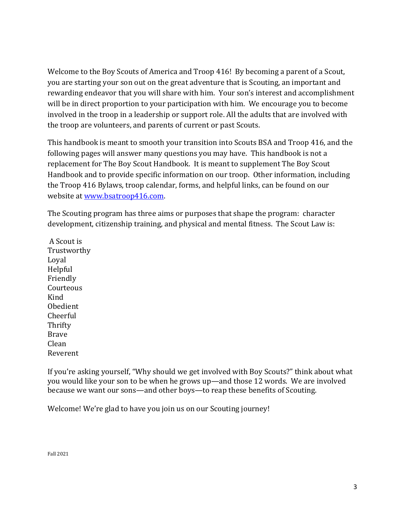<span id="page-2-0"></span>Welcome to the Boy Scouts of America and Troop 416! By becoming a parent of a Scout, you are starting your son out on the great adventure that is Scouting, an important and rewarding endeavor that you will share with him. Your son's interest and accomplishment will be in direct proportion to your participation with him. We encourage you to become involved in the troop in a leadership or support role. All the adults that are involved with the troop are volunteers, and parents of current or past Scouts.

This handbook is meant to smooth your transition into Scouts BSA and Troop 416, and the following pages will answer many questions you may have. This handbook is not a replacement for The Boy Scout Handbook. It is meant to supplement The Boy Scout Handbook and to provide specific information on our troop. Other information, including the Troop 416 Bylaws, troop calendar, forms, and helpful links, can be found on our website at [www.bsatroop416.com.](http://www.bsatroop416.com/)

The Scouting program has three aims or purposes that shape the program: character development, citizenship training, and physical and mental fitness. The Scout Law is:

A Scout is Trustworthy Loyal Helpful Friendly Courteous Kind Obedient Cheerful **Thrifty** Brave Clean Reverent

If you're asking yourself, "Why should we get involved with Boy Scouts?" think about what you would like your son to be when he grows up—and those 12 words. We are involved because we want our sons—and other boys—to reap these benefits of Scouting.

Welcome! We're glad to have you join us on our Scouting journey!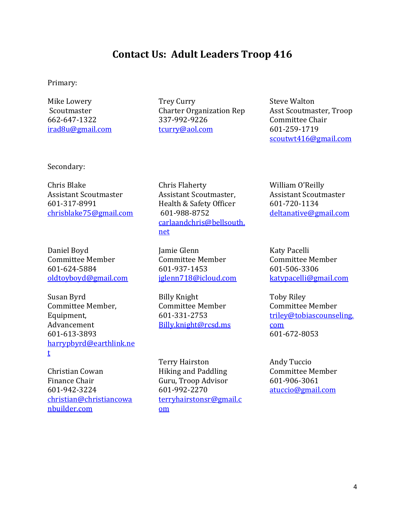# **Contact Us: Adult Leaders Troop 416**

<span id="page-3-0"></span>Primary:

Mike Lowery **Scoutmaster** 662-647-1322 [irad8u@gmail.com](mailto:irad8u@gmail.com) Trey Curry Charter Organization Rep 337-992-9226 [tcurry@aol.com](mailto:tcurry@aol.com)

Steve Walton Asst Scoutmaster, Troop Committee Chair 601-259-1719 [scoutwt416@gmail.com](mailto:scoutwt416@gmail.com)

Secondary:

Chris Blake Assistant Scoutmaster 601-317-8991 [chrisblake75@gmail.com](mailto:chrisblake75@gmail.com)

Daniel Boyd Committee Member 601-624-5884 [oldtoyboyd@gmail.com](mailto:oldtoyboyd@gmail.com)

Susan Byrd Committee Member, Equipment, Advancement 601-613-3893 [harrypbyrd@earthlink.ne](mailto:harrypbyrd@earthlink.net) [t](mailto:harrypbyrd@earthlink.net)

Christian Cowan Finance Chair 601-942-3224 [christian@christiancowa](mailto:christian@christiancowanbuilder.com) [nbuilder.com](mailto:christian@christiancowanbuilder.com)

Chris Flaherty Assistant Scoutmaster, Health & Safety Officer 601-988-8752 [carlaandchris@bellsouth.](mailto:carlaandchris@bellsouth.net) [net](mailto:carlaandchris@bellsouth.net)

Jamie Glenn Committee Member 601-937-1453 [jglenn718@icloud.com](mailto:jglenn718@icloud.com)

Billy Knight Committee Member 601-331-2753 Billy.knight@rcsd.ms

Terry Hairston Hiking and Paddling Guru, Troop Advisor 601-992-2270 [terryhairstonsr@gmail.c](mailto:terryhairstonsr@gmail.com) [om](mailto:terryhairstonsr@gmail.com)

William O'Reilly Assistant Scoutmaster 601-720-1134 [deltanative@gmail.com](mailto:deltanative@gmail.com)

Katy Pacelli Committee Member 601-506-3306 [katypacelli@gmail.com](mailto:katypacelli@gmail.com)

Toby Riley Committee Member [triley@tobiascounseling.](mailto:triley@tobiascounseling.com) [com](mailto:triley@tobiascounseling.com) 601-672-8053

Andy Tuccio Committee Member 601-906-3061 [atuccio@gmail.com](mailto:atuccio@gmail.com)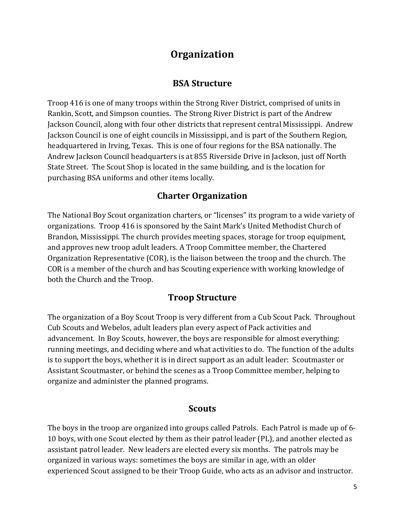# **Organization**

### **BSA Structure**

<span id="page-4-0"></span>Troop 416 is one of many troops within the Strong River District, comprised of units in Rankin, Scott, and Simpson counties. The Strong River District is part of the Andrew Jackson Council, along with four other districts that represent central Mississippi. Andrew Jackson Council is one of eight councils in Mississippi, and is part of the Southern Region, headquartered in Irving, Texas. This is one of four regions for the BSA nationally. The Andrew Jackson Council headquarters is at 855 Riverside Drive in Jackson, just off North State Street. The Scout Shop is located in the same building, and is the location for purchasing BSA uniforms and other items locally.

# **Charter Organization**

The National Boy Scout organization charters, or "licenses" its program to a wide variety of organizations. Troop 416 is sponsored by the Saint Mark's United Methodist Church of Brandon, Mississippi. The church provides meeting spaces, storage for troop equipment, and approves new troop adult leaders. A Troop Committee member, the Chartered Organization Representative (COR), is the liaison between the troop and the church. The COR is a member of the church and has Scouting experience with working knowledge of both the Church and the Troop.

# **Troop Structure**

The organization of a Boy Scout Troop is very different from a Cub Scout Pack. Throughout Cub Scouts and Webelos, adult leaders plan every aspect of Pack activities and advancement. In Boy Scouts, however, the boys are responsible for almost everything: running meetings, and deciding where and what activities to do. The function of the adults is to support the boys, whether it is in direct support as an adult leader: Scoutmaster or Assistant Scoutmaster, or behind the scenes as a Troop Committee member, helping to organize and administer the planned programs.

#### **Scouts**

The boys in the troop are organized into groups called Patrols. Each Patrol is made up of 6- 10 boys, with one Scout elected by them as their patrol leader (PL), and another elected as assistant patrol leader. New leaders are elected every six months. The patrols may be organized in various ways: sometimes the boys are similar in age, with an older experienced Scout assigned to be their Troop Guide, who acts as an advisor and instructor.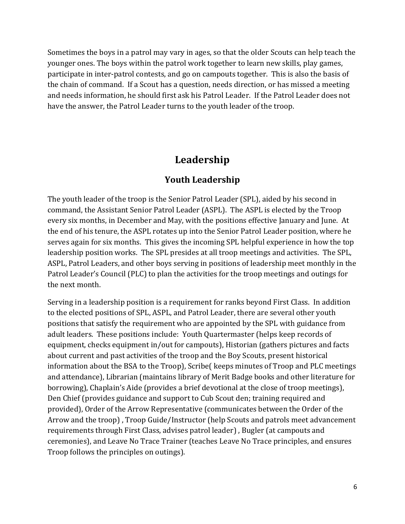Sometimes the boys in a patrol may vary in ages, so that the older Scouts can help teach the younger ones. The boys within the patrol work together to learn new skills, play games, participate in inter-patrol contests, and go on campouts together. This is also the basis of the chain of command. If a Scout has a question, needs direction, or has missed a meeting and needs information, he should first ask his Patrol Leader. If the Patrol Leader does not have the answer, the Patrol Leader turns to the youth leader of the troop.

# **Leadership**

#### **Youth Leadership**

<span id="page-5-1"></span><span id="page-5-0"></span>The youth leader of the troop is the Senior Patrol Leader (SPL), aided by his second in command, the Assistant Senior Patrol Leader (ASPL). The ASPL is elected by the Troop every six months, in December and May, with the positions effective January and June. At the end of his tenure, the ASPL rotates up into the Senior Patrol Leader position, where he serves again for six months. This gives the incoming SPL helpful experience in how the top leadership position works. The SPL presides at all troop meetings and activities. The SPL, ASPL, Patrol Leaders, and other boys serving in positions of leadership meet monthly in the Patrol Leader's Council (PLC) to plan the activities for the troop meetings and outings for the next month.

Serving in a leadership position is a requirement for ranks beyond First Class. In addition to the elected positions of SPL, ASPL, and Patrol Leader, there are several other youth positions that satisfy the requirement who are appointed by the SPL with guidance from adult leaders. These positions include: Youth Quartermaster (helps keep records of equipment, checks equipment in/out for campouts), Historian (gathers pictures and facts about current and past activities of the troop and the Boy Scouts, present historical information about the BSA to the Troop), Scribe( keeps minutes of Troop and PLC meetings and attendance), Librarian (maintains library of Merit Badge books and other literature for borrowing), Chaplain's Aide (provides a brief devotional at the close of troop meetings), Den Chief (provides guidance and support to Cub Scout den; training required and provided), Order of the Arrow Representative (communicates between the Order of the Arrow and the troop) , Troop Guide/Instructor (help Scouts and patrols meet advancement requirements through First Class, advises patrol leader) , Bugler (at campouts and ceremonies), and Leave No Trace Trainer (teaches Leave No Trace principles, and ensures Troop follows the principles on outings).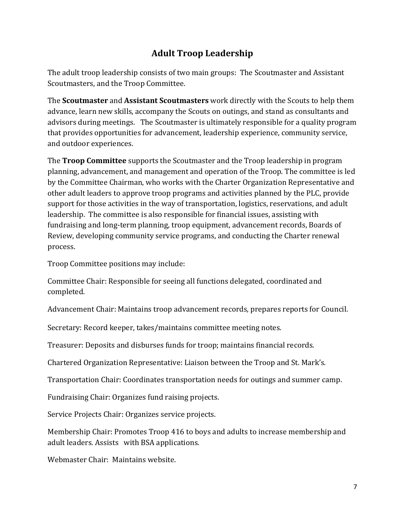# **Adult Troop Leadership**

<span id="page-6-0"></span>The adult troop leadership consists of two main groups: The Scoutmaster and Assistant Scoutmasters, and the Troop Committee.

The **Scoutmaster** and **Assistant Scoutmasters** work directly with the Scouts to help them advance, learn new skills, accompany the Scouts on outings, and stand as consultants and advisors during meetings. The Scoutmaster is ultimately responsible for a quality program that provides opportunities for advancement, leadership experience, community service, and outdoor experiences.

<span id="page-6-1"></span>The **Troop Committee** supports the Scoutmaster and the Troop leadership in program planning, advancement, and management and operation of the Troop. The committee is led by the Committee Chairman, who works with the Charter Organization Representative and other adult leaders to approve troop programs and activities planned by the PLC, provide support for those activities in the way of transportation, logistics, reservations, and adult leadership. The committee is also responsible for financial issues, assisting with fundraising and long-term planning, troop equipment, advancement records, Boards of Review, developing community service programs, and conducting the Charter renewal process.

Troop Committee positions may include:

Committee Chair: Responsible for seeing all functions delegated, coordinated and completed.

Advancement Chair: Maintains troop advancement records, prepares reports for Council.

Secretary: Record keeper, takes/maintains committee meeting notes.

Treasurer: Deposits and disburses funds for troop; maintains financial records.

Chartered Organization Representative: Liaison between the Troop and St. Mark's.

Transportation Chair: Coordinates transportation needs for outings and summer camp.

Fundraising Chair: Organizes fund raising projects.

Service Projects Chair: Organizes service projects.

Membership Chair: Promotes Troop 416 to boys and adults to increase membership and adult leaders. Assists with BSA applications.

Webmaster Chair: Maintains website.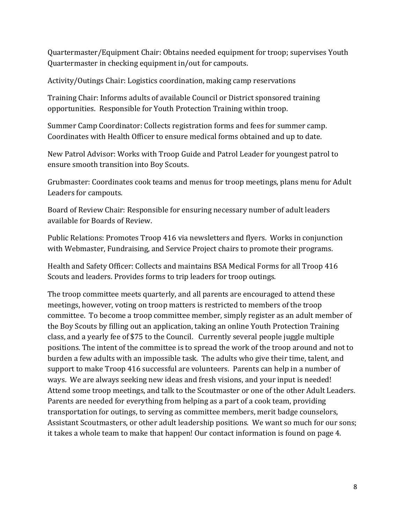Quartermaster/Equipment Chair: Obtains needed equipment for troop; supervises Youth Quartermaster in checking equipment in/out for campouts.

Activity/Outings Chair: Logistics coordination, making camp reservations

Training Chair: Informs adults of available Council or District sponsored training opportunities. Responsible for Youth Protection Training within troop.

Summer Camp Coordinator: Collects registration forms and fees for summer camp. Coordinates with Health Officer to ensure medical forms obtained and up to date.

New Patrol Advisor: Works with Troop Guide and Patrol Leader for youngest patrol to ensure smooth transition into Boy Scouts.

Grubmaster: Coordinates cook teams and menus for troop meetings, plans menu for Adult Leaders for campouts.

Board of Review Chair: Responsible for ensuring necessary number of adult leaders available for Boards of Review.

Public Relations: Promotes Troop 416 via newsletters and flyers. Works in conjunction with Webmaster, Fundraising, and Service Project chairs to promote their programs.

Health and Safety Officer: Collects and maintains BSA Medical Forms for all Troop 416 Scouts and leaders. Provides forms to trip leaders for troop outings.

The troop committee meets quarterly, and all parents are encouraged to attend these meetings, however, voting on troop matters is restricted to members of the troop committee. To become a troop committee member, simply register as an adult member of the Boy Scouts by filling out an application, taking an online Youth Protection Training class, and a yearly fee of \$75 to the Council. Currently several people juggle multiple positions. The intent of the committee is to spread the work of the troop around and not to burden a few adults with an impossible task. The adults who give their time, talent, and support to make Troop 416 successful are volunteers. Parents can help in a number of ways. We are always seeking new ideas and fresh visions, and your input is needed! Attend some troop meetings, and talk to the Scoutmaster or one of the other Adult Leaders. Parents are needed for everything from helping as a part of a cook team, providing transportation for outings, to serving as committee members, merit badge counselors, Assistant Scoutmasters, or other adult leadership positions. We want so much for our sons; it takes a whole team to make that happen! Our contact information is found on page 4.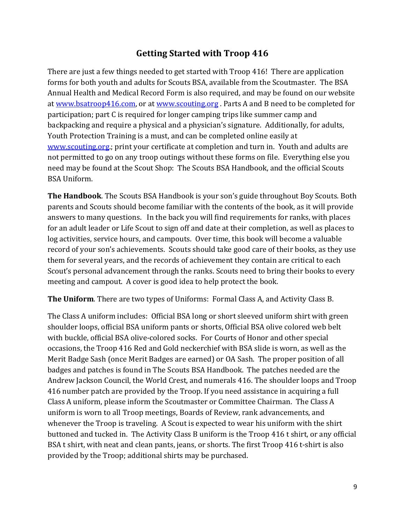# **Getting Started with Troop 416**

<span id="page-8-0"></span>There are just a few things needed to get started with Troop 416! There are application forms for both youth and adults for Scouts BSA, available from the Scoutmaster. The BSA Annual Health and Medical Record Form is also required, and may be found on our website at [www.bsatroop416.com,](http://www.bsatroop416.com/) or at [www.scouting.org](http://www.scouting.org/) . Parts A and B need to be completed for participation; part C is required for longer camping trips like summer camp and backpacking and require a physical and a physician's signature. Additionally, for adults, Youth Protection Training is a must, and can be completed online easily at [www.scouting.org.;](http://www.scouting.org/) print your certificate at completion and turn in. Youth and adults are not permitted to go on any troop outings without these forms on file. Everything else you need may be found at the Scout Shop: The Scouts BSA Handbook, and the official Scouts BSA Uniform.

**The Handbook**. The Scouts BSA Handbook is your son's guide throughout Boy Scouts. Both parents and Scouts should become familiar with the contents of the book, as it will provide answers to many questions. In the back you will find requirements for ranks, with places for an adult leader or Life Scout to sign off and date at their completion, as well as places to log activities, service hours, and campouts. Over time, this book will become a valuable record of your son's achievements. Scouts should take good care of their books, as they use them for several years, and the records of achievement they contain are critical to each Scout's personal advancement through the ranks. Scouts need to bring their books to every meeting and campout. A cover is good idea to help protect the book.

**The Uniform**. There are two types of Uniforms: Formal Class A, and Activity Class B.

The Class A uniform includes: Official BSA long or short sleeved uniform shirt with green shoulder loops, official BSA uniform pants or shorts, Official BSA olive colored web belt with buckle, official BSA olive-colored socks. For Courts of Honor and other special occasions, the Troop 416 Red and Gold neckerchief with BSA slide is worn, as well as the Merit Badge Sash (once Merit Badges are earned) or OA Sash. The proper position of all badges and patches is found in The Scouts BSA Handbook. The patches needed are the Andrew Jackson Council, the World Crest, and numerals 416. The shoulder loops and Troop 416 number patch are provided by the Troop. If you need assistance in acquiring a full Class A uniform, please inform the Scoutmaster or Committee Chairman. The Class A uniform is worn to all Troop meetings, Boards of Review, rank advancements, and whenever the Troop is traveling. A Scout is expected to wear his uniform with the shirt buttoned and tucked in. The Activity Class B uniform is the Troop 416 t shirt, or any official BSA t shirt, with neat and clean pants, jeans, or shorts. The first Troop 416 t-shirt is also provided by the Troop; additional shirts may be purchased.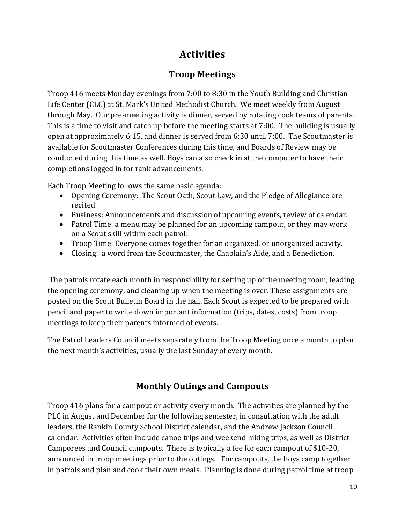# **Activities**

# **Troop Meetings**

<span id="page-9-1"></span><span id="page-9-0"></span>Troop 416 meets Monday evenings from 7:00 to 8:30 in the Youth Building and Christian Life Center (CLC) at St. Mark's United Methodist Church. We meet weekly from August through May. Our pre-meeting activity is dinner, served by rotating cook teams of parents. This is a time to visit and catch up before the meeting starts at 7:00. The building is usually open at approximately 6:15, and dinner is served from 6:30 until 7:00. The Scoutmaster is available for Scoutmaster Conferences during this time, and Boards of Review may be conducted during this time as well. Boys can also check in at the computer to have their completions logged in for rank advancements.

Each Troop Meeting follows the same basic agenda:

- Opening Ceremony: The Scout Oath, Scout Law, and the Pledge of Allegiance are recited
- Business: Announcements and discussion of upcoming events, review of calendar.
- Patrol Time: a menu may be planned for an upcoming campout, or they may work on a Scout skill within each patrol.
- Troop Time: Everyone comes together for an organized, or unorganized activity.
- Closing: a word from the Scoutmaster, the Chaplain's Aide, and a Benediction.

The patrols rotate each month in responsibility for setting up of the meeting room, leading the opening ceremony, and cleaning up when the meeting is over. These assignments are posted on the Scout Bulletin Board in the hall. Each Scout is expected to be prepared with pencil and paper to write down important information (trips, dates, costs) from troop meetings to keep their parents informed of events.

The Patrol Leaders Council meets separately from the Troop Meeting once a month to plan the next month's activities, usually the last Sunday of every month.

# **Monthly Outings and Campouts**

<span id="page-9-2"></span>Troop 416 plans for a campout or activity every month. The activities are planned by the PLC in August and December for the following semester, in consultation with the adult leaders, the Rankin County School District calendar, and the Andrew Jackson Council calendar. Activities often include canoe trips and weekend hiking trips, as well as District Camporees and Council campouts. There is typically a fee for each campout of \$10-20, announced in troop meetings prior to the outings. For campouts, the boys camp together in patrols and plan and cook their own meals. Planning is done during patrol time at troop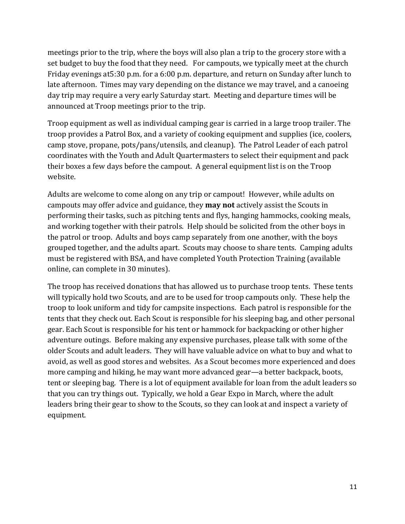meetings prior to the trip, where the boys will also plan a trip to the grocery store with a set budget to buy the food that they need. For campouts, we typically meet at the church Friday evenings at5:30 p.m. for a 6:00 p.m. departure, and return on Sunday after lunch to late afternoon. Times may vary depending on the distance we may travel, and a canoeing day trip may require a very early Saturday start. Meeting and departure times will be announced at Troop meetings prior to the trip.

Troop equipment as well as individual camping gear is carried in a large troop trailer. The troop provides a Patrol Box, and a variety of cooking equipment and supplies (ice, coolers, camp stove, propane, pots/pans/utensils, and cleanup). The Patrol Leader of each patrol coordinates with the Youth and Adult Quartermasters to select their equipment and pack their boxes a few days before the campout. A general equipment list is on the Troop website.

Adults are welcome to come along on any trip or campout! However, while adults on campouts may offer advice and guidance, they **may not** actively assist the Scouts in performing their tasks, such as pitching tents and flys, hanging hammocks, cooking meals, and working together with their patrols. Help should be solicited from the other boys in the patrol or troop. Adults and boys camp separately from one another, with the boys grouped together, and the adults apart. Scouts may choose to share tents. Camping adults must be registered with BSA, and have completed Youth Protection Training (available online, can complete in 30 minutes).

The troop has received donations that has allowed us to purchase troop tents. These tents will typically hold two Scouts, and are to be used for troop campouts only. These help the troop to look uniform and tidy for campsite inspections. Each patrol is responsible for the tents that they check out. Each Scout is responsible for his sleeping bag, and other personal gear. Each Scout is responsible for his tent or hammock for backpacking or other higher adventure outings. Before making any expensive purchases, please talk with some of the older Scouts and adult leaders. They will have valuable advice on what to buy and what to avoid, as well as good stores and websites. As a Scout becomes more experienced and does more camping and hiking, he may want more advanced gear—a better backpack, boots, tent or sleeping bag. There is a lot of equipment available for loan from the adult leaders so that you can try things out. Typically, we hold a Gear Expo in March, where the adult leaders bring their gear to show to the Scouts, so they can look at and inspect a variety of equipment.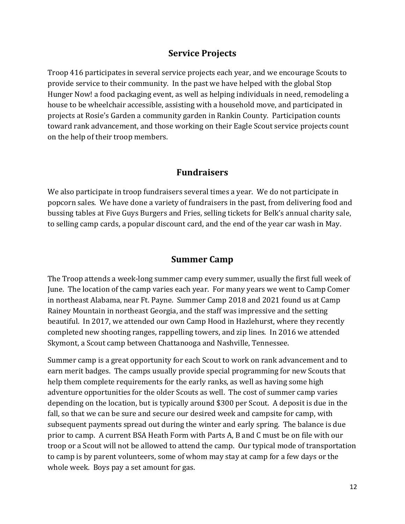## **Service Projects**

<span id="page-11-0"></span>Troop 416 participates in several service projects each year, and we encourage Scouts to provide service to their community. In the past we have helped with the global Stop Hunger Now! a food packaging event, as well as helping individuals in need, remodeling a house to be wheelchair accessible, assisting with a household move, and participated in projects at Rosie's Garden a community garden in Rankin County. Participation counts toward rank advancement, and those working on their Eagle Scout service projects count on the help of their troop members.

#### **Fundraisers**

<span id="page-11-1"></span>We also participate in troop fundraisers several times a year. We do not participate in popcorn sales. We have done a variety of fundraisers in the past, from delivering food and bussing tables at Five Guys Burgers and Fries, selling tickets for Belk's annual charity sale, to selling camp cards, a popular discount card, and the end of the year car wash in May.

### **Summer Camp**

<span id="page-11-2"></span>The Troop attends a week-long summer camp every summer, usually the first full week of June. The location of the camp varies each year. For many years we went to Camp Comer in northeast Alabama, near Ft. Payne. Summer Camp 2018 and 2021 found us at Camp Rainey Mountain in northeast Georgia, and the staff was impressive and the setting beautiful. In 2017, we attended our own Camp Hood in Hazlehurst, where they recently completed new shooting ranges, rappelling towers, and zip lines. In 2016 we attended Skymont, a Scout camp between Chattanooga and Nashville, Tennessee.

Summer camp is a great opportunity for each Scout to work on rank advancement and to earn merit badges. The camps usually provide special programming for new Scouts that help them complete requirements for the early ranks, as well as having some high adventure opportunities for the older Scouts as well. The cost of summer camp varies depending on the location, but is typically around \$300 per Scout. A deposit is due in the fall, so that we can be sure and secure our desired week and campsite for camp, with subsequent payments spread out during the winter and early spring. The balance is due prior to camp. A current BSA Heath Form with Parts A, B and C must be on file with our troop or a Scout will not be allowed to attend the camp. Our typical mode of transportation to camp is by parent volunteers, some of whom may stay at camp for a few days or the whole week. Boys pay a set amount for gas.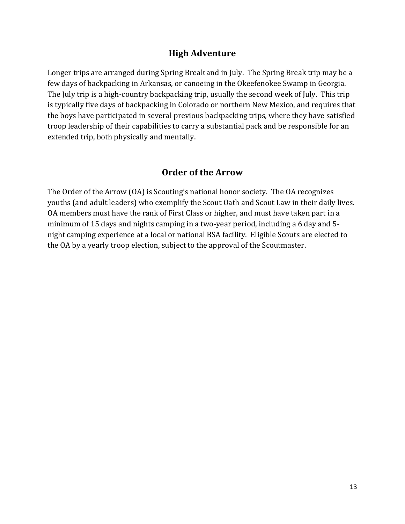# **High Adventure**

<span id="page-12-0"></span>Longer trips are arranged during Spring Break and in July. The Spring Break trip may be a few days of backpacking in Arkansas, or canoeing in the Okeefenokee Swamp in Georgia. The July trip is a high-country backpacking trip, usually the second week of July. This trip is typically five days of backpacking in Colorado or northern New Mexico, and requires that the boys have participated in several previous backpacking trips, where they have satisfied troop leadership of their capabilities to carry a substantial pack and be responsible for an extended trip, both physically and mentally.

#### **Order of the Arrow**

<span id="page-12-1"></span>The Order of the Arrow (OA) is Scouting's national honor society. The OA recognizes youths (and adult leaders) who exemplify the Scout Oath and Scout Law in their daily lives. OA members must have the rank of First Class or higher, and must have taken part in a minimum of 15 days and nights camping in a two-year period, including a 6 day and 5 night camping experience at a local or national BSA facility. Eligible Scouts are elected to the OA by a yearly troop election, subject to the approval of the Scoutmaster.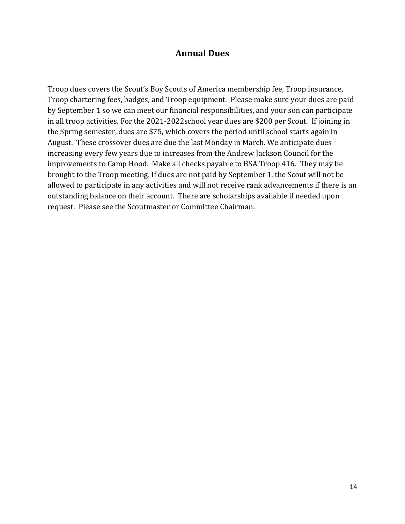#### **Annual Dues**

<span id="page-13-0"></span>Troop dues covers the Scout's Boy Scouts of America membership fee, Troop insurance, Troop chartering fees, badges, and Troop equipment. Please make sure your dues are paid by September 1 so we can meet our financial responsibilities, and your son can participate in all troop activities. For the 2021-2022school year dues are \$200 per Scout. If joining in the Spring semester, dues are \$75, which covers the period until school starts again in August. These crossover dues are due the last Monday in March. We anticipate dues increasing every few years due to increases from the Andrew Jackson Council for the improvements to Camp Hood. Make all checks payable to BSA Troop 416. They may be brought to the Troop meeting. If dues are not paid by September 1, the Scout will not be allowed to participate in any activities and will not receive rank advancements if there is an outstanding balance on their account. There are scholarships available if needed upon request. Please see the Scoutmaster or Committee Chairman.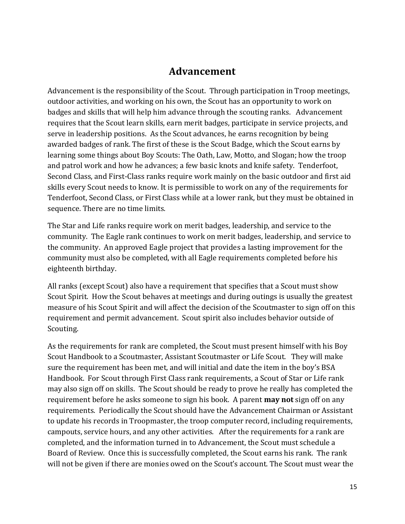# **Advancement**

<span id="page-14-0"></span>Advancement is the responsibility of the Scout. Through participation in Troop meetings, outdoor activities, and working on his own, the Scout has an opportunity to work on badges and skills that will help him advance through the scouting ranks. Advancement requires that the Scout learn skills, earn merit badges, participate in service projects, and serve in leadership positions. As the Scout advances, he earns recognition by being awarded badges of rank. The first of these is the Scout Badge, which the Scout earns by learning some things about Boy Scouts: The Oath, Law, Motto, and Slogan; how the troop and patrol work and how he advances; a few basic knots and knife safety. Tenderfoot, Second Class, and First-Class ranks require work mainly on the basic outdoor and first aid skills every Scout needs to know. It is permissible to work on any of the requirements for Tenderfoot, Second Class, or First Class while at a lower rank, but they must be obtained in sequence. There are no time limits.

The Star and Life ranks require work on merit badges, leadership, and service to the community. The Eagle rank continues to work on merit badges, leadership, and service to the community. An approved Eagle project that provides a lasting improvement for the community must also be completed, with all Eagle requirements completed before his eighteenth birthday.

All ranks (except Scout) also have a requirement that specifies that a Scout must show Scout Spirit. How the Scout behaves at meetings and during outings is usually the greatest measure of his Scout Spirit and will affect the decision of the Scoutmaster to sign off on this requirement and permit advancement. Scout spirit also includes behavior outside of Scouting.

As the requirements for rank are completed, the Scout must present himself with his Boy Scout Handbook to a Scoutmaster, Assistant Scoutmaster or Life Scout. They will make sure the requirement has been met, and will initial and date the item in the boy's BSA Handbook. For Scout through First Class rank requirements, a Scout of Star or Life rank may also sign off on skills. The Scout should be ready to prove he really has completed the requirement before he asks someone to sign his book. A parent **may not** sign off on any requirements. Periodically the Scout should have the Advancement Chairman or Assistant to update his records in Troopmaster, the troop computer record, including requirements, campouts, service hours, and any other activities. After the requirements for a rank are completed, and the information turned in to Advancement, the Scout must schedule a Board of Review. Once this is successfully completed, the Scout earns his rank. The rank will not be given if there are monies owed on the Scout's account. The Scout must wear the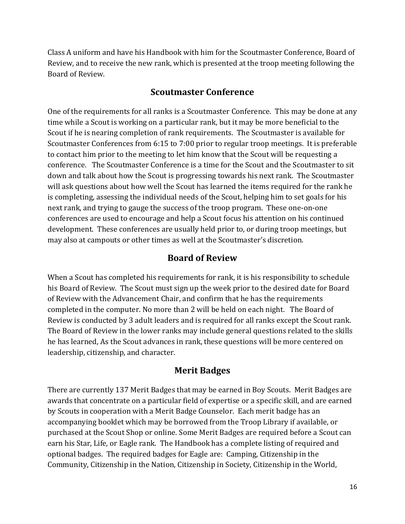Class A uniform and have his Handbook with him for the Scoutmaster Conference, Board of Review, and to receive the new rank, which is presented at the troop meeting following the Board of Review.

### **Scoutmaster Conference**

<span id="page-15-0"></span>One of the requirements for all ranks is a Scoutmaster Conference. This may be done at any time while a Scout is working on a particular rank, but it may be more beneficial to the Scout if he is nearing completion of rank requirements. The Scoutmaster is available for Scoutmaster Conferences from 6:15 to 7:00 prior to regular troop meetings. It is preferable to contact him prior to the meeting to let him know that the Scout will be requesting a conference. The Scoutmaster Conference is a time for the Scout and the Scoutmaster to sit down and talk about how the Scout is progressing towards his next rank. The Scoutmaster will ask questions about how well the Scout has learned the items required for the rank he is completing, assessing the individual needs of the Scout, helping him to set goals for his next rank, and trying to gauge the success of the troop program. These one-on-one conferences are used to encourage and help a Scout focus his attention on his continued development. These conferences are usually held prior to, or during troop meetings, but may also at campouts or other times as well at the Scoutmaster's discretion.

# **Board of Review**

<span id="page-15-1"></span>When a Scout has completed his requirements for rank, it is his responsibility to schedule his Board of Review. The Scout must sign up the week prior to the desired date for Board of Review with the Advancement Chair, and confirm that he has the requirements completed in the computer. No more than 2 will be held on each night. The Board of Review is conducted by 3 adult leaders and is required for all ranks except the Scout rank. The Board of Review in the lower ranks may include general questions related to the skills he has learned, As the Scout advances in rank, these questions will be more centered on leadership, citizenship, and character.

#### **Merit Badges**

There are currently 137 Merit Badges that may be earned in Boy Scouts. Merit Badges are awards that concentrate on a particular field of expertise or a specific skill, and are earned by Scouts in cooperation with a Merit Badge Counselor. Each merit badge has an accompanying booklet which may be borrowed from the Troop Library if available, or purchased at the Scout Shop or online. Some Merit Badges are required before a Scout can earn his Star, Life, or Eagle rank. The Handbook has a complete listing of required and optional badges. The required badges for Eagle are: Camping, Citizenship in the Community, Citizenship in the Nation, Citizenship in Society, Citizenship in the World,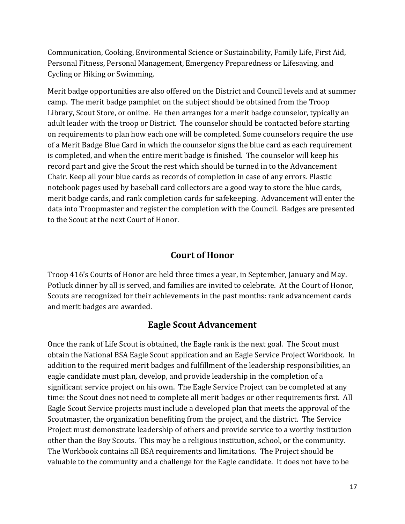Communication, Cooking, Environmental Science or Sustainability, Family Life, First Aid, Personal Fitness, Personal Management, Emergency Preparedness or Lifesaving, and Cycling or Hiking or Swimming.

Merit badge opportunities are also offered on the District and Council levels and at summer camp. The merit badge pamphlet on the subject should be obtained from the Troop Library, Scout Store, or online. He then arranges for a merit badge counselor, typically an adult leader with the troop or District. The counselor should be contacted before starting on requirements to plan how each one will be completed. Some counselors require the use of a Merit Badge Blue Card in which the counselor signs the blue card as each requirement is completed, and when the entire merit badge is finished. The counselor will keep his record part and give the Scout the rest which should be turned in to the Advancement Chair. Keep all your blue cards as records of completion in case of any errors. Plastic notebook pages used by baseball card collectors are a good way to store the blue cards, merit badge cards, and rank completion cards for safekeeping. Advancement will enter the data into Troopmaster and register the completion with the Council. Badges are presented to the Scout at the next Court of Honor.

## **Court of Honor**

<span id="page-16-0"></span>Troop 416's Courts of Honor are held three times a year, in September, January and May. Potluck dinner by all is served, and families are invited to celebrate. At the Court of Honor, Scouts are recognized for their achievements in the past months: rank advancement cards and merit badges are awarded.

#### **Eagle Scout Advancement**

<span id="page-16-1"></span>Once the rank of Life Scout is obtained, the Eagle rank is the next goal. The Scout must obtain the National BSA Eagle Scout application and an Eagle Service Project Workbook. In addition to the required merit badges and fulfillment of the leadership responsibilities, an eagle candidate must plan, develop, and provide leadership in the completion of a significant service project on his own. The Eagle Service Project can be completed at any time: the Scout does not need to complete all merit badges or other requirements first. All Eagle Scout Service projects must include a developed plan that meets the approval of the Scoutmaster, the organization benefiting from the project, and the district. The Service Project must demonstrate leadership of others and provide service to a worthy institution other than the Boy Scouts. This may be a religious institution, school, or the community. The Workbook contains all BSA requirements and limitations. The Project should be valuable to the community and a challenge for the Eagle candidate. It does not have to be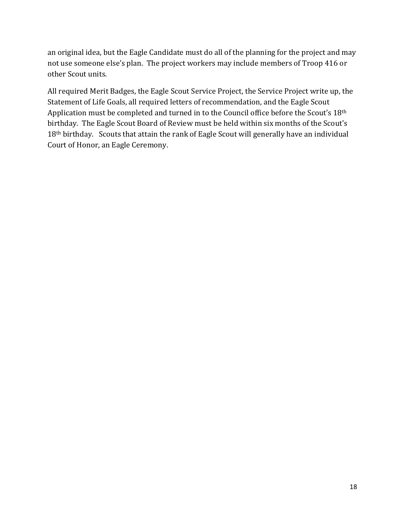an original idea, but the Eagle Candidate must do all of the planning for the project and may not use someone else's plan. The project workers may include members of Troop 416 or other Scout units.

All required Merit Badges, the Eagle Scout Service Project, the Service Project write up, the Statement of Life Goals, all required letters of recommendation, and the Eagle Scout Application must be completed and turned in to the Council office before the Scout's 18th birthday. The Eagle Scout Board of Review must be held within six months of the Scout's 18th birthday. Scouts that attain the rank of Eagle Scout will generally have an individual Court of Honor, an Eagle Ceremony.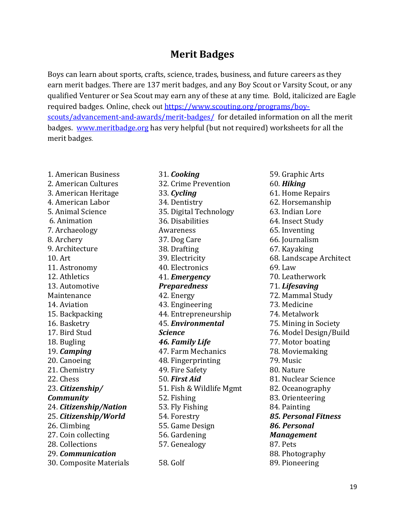# **Merit Badges**

<span id="page-18-0"></span>Boys can learn about sports, crafts, science, trades, business, and future careers as they earn merit badges. There are 137 merit badges, and any Boy Scout or Varsity Scout, or any qualified Venturer or Sea Scout may earn any of these at any time. Bold, italicized are Eagle required badges. Online, check out [https://www.scouting.org/programs/boy](https://www.scouting.org/programs/boy-scouts/advancement-and-awards/merit-badges/)[scouts/advancement-and-awards/merit-badges/](https://www.scouting.org/programs/boy-scouts/advancement-and-awards/merit-badges/) for detailed information on all the merit badges. [www.meritbadge.org](http://www.meritbadge.org/) has very helpful (but not required) worksheets for all the merit badges.

1. American Business 2. American Cultures 3. American Heritage 4. American Labor 5. Animal Science 6. Animation 7. Archaeology 8. Archery 9. Architecture 10. Art 11. Astronomy 12. Athletics 13. Automotive Maintenance 14. Aviation 15. Backpacking 16. Basketry 17. Bird Stud 18. Bugling 19. *Camping* 20. Canoeing 21. Chemistry 22. Chess 23. *Citizenship/ Community* 24. *Citizenship/Nation* 25. *Citizenship/World* 26. Climbing 27. Coin collecting 28. Collections 29. *Communication* 30. Composite Materials

31. *Cooking* 32. Crime Prevention 33. *Cycling* 34. Dentistry 35. Digital Technology 36. Disabilities Awareness 37. Dog Care 38. Drafting 39. Electricity 40. Electronics 41. *Emergency Preparedness* 42. Energy 43. Engineering 44. Entrepreneurship 45. *Environmental Science 46. Family Life* 47. Farm Mechanics 48. Fingerprinting 49. Fire Safety 50. *First Aid* 51. Fish & Wildlife Mgmt 52. Fishing 53. Fly Fishing 54. Forestry 55. Game Design 56. Gardening 57. Genealogy 58. Golf

59. Graphic Arts 60. *Hiking* 61. Home Repairs 62. Horsemanship 63. Indian Lore 64. Insect Study 65. Inventing 66. Journalism 67. Kayaking 68. Landscape Architect 69. Law 70. Leatherwork 71. *Lifesaving* 72. Mammal Study 73. Medicine 74. Metalwork 75. Mining in Society 76. Model Design/Build 77. Motor boating 78. Moviemaking 79. Music 80. Nature 81. Nuclear Science 82. Oceanography 83. Orienteering 84. Painting *85. Personal Fitness 86. Personal Management* 87. Pets 88. Photography 89. Pioneering